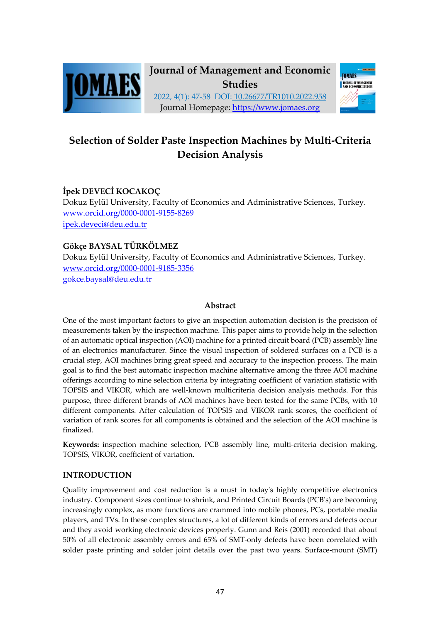



# **Selection of Solder Paste Inspection Machines by Multi-Criteria Decision Analysis**

# **İpek DEVECİ KOCAKOÇ**

Dokuz Eylül University, Faculty of Economics and Administrative Sciences, Turkey. www.orcid.org/0000-0001-9155-8269 ipek.deveci@deu.edu.tr

# **Gökçe BAYSAL TÜRKÖLMEZ**

Dokuz Eylül University, Faculty of Economics and Administrative Sciences, Turkey. www.orcid.org/0000-0001-9185-3356 gokce.baysal@deu.edu.tr

### **Abstract**

One of the most important factors to give an inspection automation decision is the precision of measurements taken by the inspection machine. This paper aims to provide help in the selection of an automatic optical inspection (AOI) machine for a printed circuit board (PCB) assembly line of an electronics manufacturer. Since the visual inspection of soldered surfaces on a PCB is a crucial step, AOI machines bring great speed and accuracy to the inspection process. The main goal is to find the best automatic inspection machine alternative among the three AOI machine offerings according to nine selection criteria by integrating coefficient of variation statistic with TOPSIS and VIKOR, which are well-known multicriteria decision analysis methods. For this purpose, three different brands of AOI machines have been tested for the same PCBs, with 10 different components. After calculation of TOPSIS and VIKOR rank scores, the coefficient of variation of rank scores for all components is obtained and the selection of the AOI machine is finalized.

**Keywords:** inspection machine selection, PCB assembly line, multi-criteria decision making, TOPSIS, VIKOR, coefficient of variation.

### **INTRODUCTION**

Quality improvement and cost reduction is a must in today's highly competitive electronics industry. Component sizes continue to shrink, and Printed Circuit Boards (PCB's) are becoming increasingly complex, as more functions are crammed into mobile phones, PCs, portable media players, and TVs. In these complex structures, a lot of different kinds of errors and defects occur and they avoid working electronic devices properly. Gunn and Reis (2001) recorded that about 50% of all electronic assembly errors and 65% of SMT-only defects have been correlated with solder paste printing and solder joint details over the past two years. Surface-mount (SMT)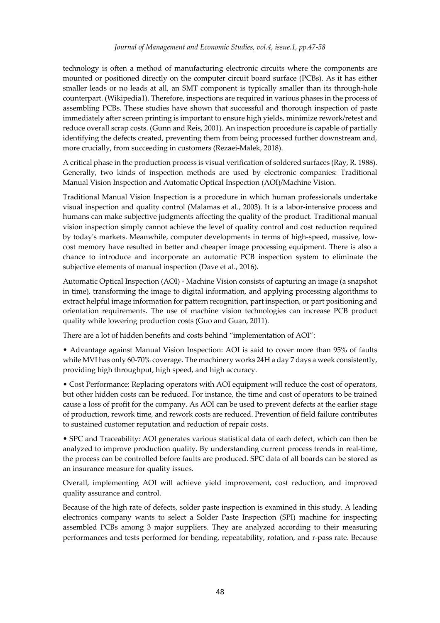technology is often a method of manufacturing electronic circuits where the components are mounted or positioned directly on the computer circuit board surface (PCBs). As it has either smaller leads or no leads at all, an SMT component is typically smaller than its through-hole counterpart. (Wikipedia1). Therefore, inspections are required in various phases in the process of assembling PCBs. These studies have shown that successful and thorough inspection of paste immediately after screen printing is important to ensure high yields, minimize rework/retest and reduce overall scrap costs. (Gunn and Reis, 2001). An inspection procedure is capable of partially identifying the defects created, preventing them from being processed further downstream and, more crucially, from succeeding in customers (Rezaei-Malek, 2018).

A critical phase in the production process is visual verification of soldered surfaces (Ray, R. 1988). Generally, two kinds of inspection methods are used by electronic companies: Traditional Manual Vision Inspection and Automatic Optical Inspection (AOI)/Machine Vision.

Traditional Manual Vision Inspection is a procedure in which human professionals undertake visual inspection and quality control (Malamas et al., 2003). It is a labor-intensive process and humans can make subjective judgments affecting the quality of the product. Traditional manual vision inspection simply cannot achieve the level of quality control and cost reduction required by today's markets. Meanwhile, computer developments in terms of high-speed, massive, lowcost memory have resulted in better and cheaper image processing equipment. There is also a chance to introduce and incorporate an automatic PCB inspection system to eliminate the subjective elements of manual inspection (Dave et al., 2016).

Automatic Optical Inspection (AOI) - Machine Vision consists of capturing an image (a snapshot in time), transforming the image to digital information, and applying processing algorithms to extract helpful image information for pattern recognition, part inspection, or part positioning and orientation requirements. The use of machine vision technologies can increase PCB product quality while lowering production costs (Guo and Guan, 2011).

There are a lot of hidden benefits and costs behind "implementation of AOI":

• Advantage against Manual Vision Inspection: AOI is said to cover more than 95% of faults while MVI has only 60-70% coverage. The machinery works 24H a day 7 days a week consistently, providing high throughput, high speed, and high accuracy.

• Cost Performance: Replacing operators with AOI equipment will reduce the cost of operators, but other hidden costs can be reduced. For instance, the time and cost of operators to be trained cause a loss of profit for the company. As AOI can be used to prevent defects at the earlier stage of production, rework time, and rework costs are reduced. Prevention of field failure contributes to sustained customer reputation and reduction of repair costs.

• SPC and Traceability: AOI generates various statistical data of each defect, which can then be analyzed to improve production quality. By understanding current process trends in real-time, the process can be controlled before faults are produced. SPC data of all boards can be stored as an insurance measure for quality issues.

Overall, implementing AOI will achieve yield improvement, cost reduction, and improved quality assurance and control.

Because of the high rate of defects, solder paste inspection is examined in this study. A leading electronics company wants to select a Solder Paste Inspection (SPI) machine for inspecting assembled PCBs among 3 major suppliers. They are analyzed according to their measuring performances and tests performed for bending, repeatability, rotation, and r-pass rate. Because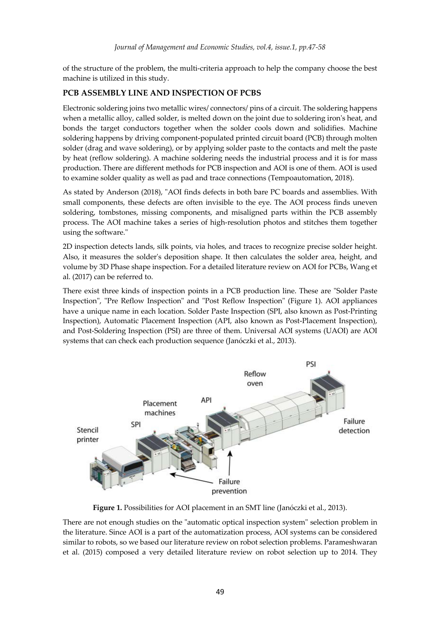of the structure of the problem, the multi-criteria approach to help the company choose the best machine is utilized in this study.

#### **PCB ASSEMBLY LINE AND INSPECTION OF PCBS**

Electronic soldering joins two metallic wires/ connectors/ pins of a circuit. The soldering happens when a metallic alloy, called solder, is melted down on the joint due to soldering iron's heat, and bonds the target conductors together when the solder cools down and solidifies. Machine soldering happens by driving component-populated printed circuit board (PCB) through molten solder (drag and wave soldering), or by applying solder paste to the contacts and melt the paste by heat (reflow soldering). A machine soldering needs the industrial process and it is for mass production. There are different methods for PCB inspection and AOI is one of them. AOI is used to examine solder quality as well as pad and trace connections (Tempoautomation, 2018).

As stated by Anderson (2018), "AOI finds defects in both bare PC boards and assemblies. With small components, these defects are often invisible to the eye. The AOI process finds uneven soldering, tombstones, missing components, and misaligned parts within the PCB assembly process. The AOI machine takes a series of high-resolution photos and stitches them together using the software."

2D inspection detects lands, silk points, via holes, and traces to recognize precise solder height. Also, it measures the solder's deposition shape. It then calculates the solder area, height, and volume by 3D Phase shape inspection. For a detailed literature review on AOI for PCBs, Wang et al. (2017) can be referred to.

There exist three kinds of inspection points in a PCB production line. These are "Solder Paste Inspection", "Pre Reflow Inspection" and "Post Reflow Inspection" (Figure 1). AOI appliances have a unique name in each location. Solder Paste Inspection (SPI, also known as Post-Printing Inspection), Automatic Placement Inspection (API, also known as Post-Placement Inspection), and Post-Soldering Inspection (PSI) are three of them. Universal AOI systems (UAOI) are AOI systems that can check each production sequence (Janóczki et al., 2013).



**Figure 1.** Possibilities for AOI placement in an SMT line (Janóczki et al., 2013).

There are not enough studies on the "automatic optical inspection system" selection problem in the literature. Since AOI is a part of the automatization process, AOI systems can be considered similar to robots, so we based our literature review on robot selection problems. Parameshwaran et al. (2015) composed a very detailed literature review on robot selection up to 2014. They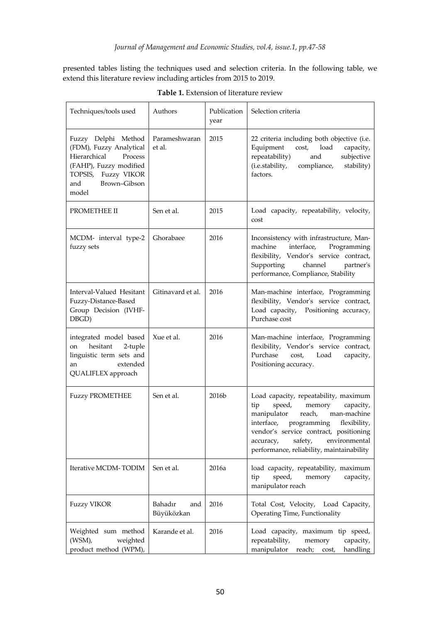presented tables listing the techniques used and selection criteria. In the following table, we extend this literature review including articles from 2015 to 2019.

| Techniques/tools used                                                                                                                                         | Authors                      | Publication<br>year | Selection criteria                                                                                                                                                                                                                                                                                 |
|---------------------------------------------------------------------------------------------------------------------------------------------------------------|------------------------------|---------------------|----------------------------------------------------------------------------------------------------------------------------------------------------------------------------------------------------------------------------------------------------------------------------------------------------|
| Fuzzy Delphi Method<br>(FDM), Fuzzy Analytical<br>Hierarchical<br>Process<br>(FAHP), Fuzzy modified<br>Fuzzy VIKOR<br>TOPSIS,<br>Brown-Gibson<br>and<br>model | Parameshwaran<br>et al.      | 2015                | 22 criteria including both objective (i.e.<br>Equipment<br>load<br>capacity,<br>cost,<br>repeatability)<br>subjective<br>and<br>(i.e.stability,<br>stability)<br>compliance,<br>factors.                                                                                                           |
| PROMETHEE II                                                                                                                                                  | Sen et al.                   | 2015                | Load capacity, repeatability, velocity,<br>cost                                                                                                                                                                                                                                                    |
| MCDM- interval type-2<br>fuzzy sets                                                                                                                           | Ghorabaee                    | 2016                | Inconsistency with infrastructure, Man-<br>interface,<br>machine<br>Programming<br>flexibility, Vendor's service contract,<br>Supporting<br>channel<br>partner's<br>performance, Compliance, Stability                                                                                             |
| Interval-Valued Hesitant<br>Fuzzy-Distance-Based<br>Group Decision (IVHF-<br>DBGD)                                                                            | Gitinavard et al.            | 2016                | Man-machine interface, Programming<br>flexibility, Vendor's service contract,<br>Load capacity, Positioning accuracy,<br>Purchase cost                                                                                                                                                             |
| integrated model based<br>hesitant<br>2-tuple<br>on<br>linguistic term sets and<br>extended<br>an<br>QUALIFLEX approach                                       | Xue et al.                   | 2016                | Man-machine interface, Programming<br>flexibility, Vendor's service contract,<br>Purchase<br>Load<br>cost,<br>capacity,<br>Positioning accuracy.                                                                                                                                                   |
| <b>Fuzzy PROMETHEE</b>                                                                                                                                        | Sen et al.                   | 2016b               | Load capacity, repeatability, maximum<br>speed,<br>memory<br>capacity,<br>tip<br>manipulator<br>man-machine<br>reach,<br>interface,<br>programming<br>flexibility,<br>vendor's service contract, positioning<br>safety,<br>environmental<br>accuracy,<br>performance, reliability, maintainability |
| Iterative MCDM-TODIM                                                                                                                                          | Sen et al.                   | 2016a               | load capacity, repeatability, maximum<br>speed,<br>memory<br>capacity,<br>tip<br>manipulator reach                                                                                                                                                                                                 |
| <b>Fuzzy VIKOR</b>                                                                                                                                            | Bahadır<br>and<br>Büyüközkan | 2016                | Total Cost, Velocity,<br>Load Capacity,<br>Operating Time, Functionality                                                                                                                                                                                                                           |
| Weighted sum method<br>(WSM),<br>weighted<br>product method (WPM),                                                                                            | Karande et al.               | 2016                | Load capacity, maximum tip speed,<br>repeatability,<br>memory<br>capacity,<br>manipulator<br>reach; cost,<br>handling                                                                                                                                                                              |

**Table 1.** Extension of literature review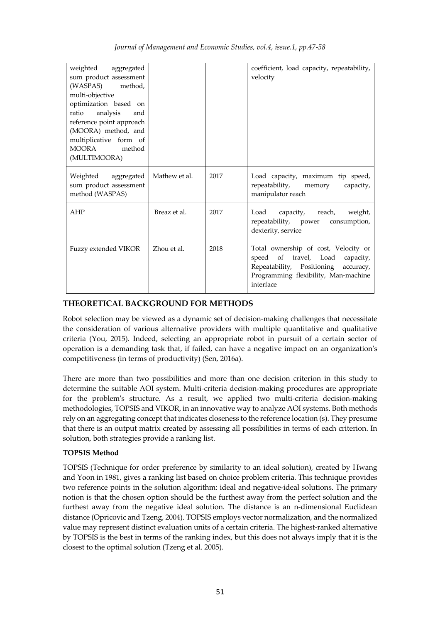| weighted aggregated                                              |               |      | coefficient, load capacity, repeatability,                                                                                                                              |
|------------------------------------------------------------------|---------------|------|-------------------------------------------------------------------------------------------------------------------------------------------------------------------------|
| sum product assessment                                           |               |      | velocity                                                                                                                                                                |
| (WASPAS)<br>method,                                              |               |      |                                                                                                                                                                         |
| multi-objective                                                  |               |      |                                                                                                                                                                         |
| optimization based on                                            |               |      |                                                                                                                                                                         |
| analysis<br>ratio<br>and                                         |               |      |                                                                                                                                                                         |
| reference point approach                                         |               |      |                                                                                                                                                                         |
| (MOORA) method, and                                              |               |      |                                                                                                                                                                         |
| multiplicative form of                                           |               |      |                                                                                                                                                                         |
| <b>MOORA</b><br>method                                           |               |      |                                                                                                                                                                         |
| (MULTIMOORA)                                                     |               |      |                                                                                                                                                                         |
| Weighted aggregated<br>sum product assessment<br>method (WASPAS) | Mathew et al. | 2017 | Load capacity, maximum tip speed,<br>repeatability,<br>capacity,<br>memory<br>manipulator reach                                                                         |
| AHP                                                              | Breaz et al.  | 2017 | Load capacity, reach, weight,<br>repeatability, power<br>consumption,<br>dexterity, service                                                                             |
| Fuzzy extended VIKOR                                             | Zhou et al.   | 2018 | Total ownership of cost, Velocity or<br>speed of travel, Load<br>capacity,<br>Repeatability, Positioning accuracy,<br>Programming flexibility, Man-machine<br>interface |

### **THEORETICAL BACKGROUND FOR METHODS**

Robot selection may be viewed as a dynamic set of decision-making challenges that necessitate the consideration of various alternative providers with multiple quantitative and qualitative criteria (You, 2015). Indeed, selecting an appropriate robot in pursuit of a certain sector of operation is a demanding task that, if failed, can have a negative impact on an organization's competitiveness (in terms of productivity) (Sen, 2016a).

There are more than two possibilities and more than one decision criterion in this study to determine the suitable AOI system. Multi-criteria decision-making procedures are appropriate for the problem's structure. As a result, we applied two multi-criteria decision-making methodologies, TOPSIS and VIKOR, in an innovative way to analyze AOI systems. Both methods rely on an aggregating concept that indicates closeness to the reference location (s). They presume that there is an output matrix created by assessing all possibilities in terms of each criterion. In solution, both strategies provide a ranking list.

### **TOPSIS Method**

TOPSIS (Technique for order preference by similarity to an ideal solution), created by Hwang and Yoon in 1981, gives a ranking list based on choice problem criteria. This technique provides two reference points in the solution algorithm: ideal and negative-ideal solutions. The primary notion is that the chosen option should be the furthest away from the perfect solution and the furthest away from the negative ideal solution. The distance is an n-dimensional Euclidean distance (Opricovic and Tzeng, 2004). TOPSIS employs vector normalization, and the normalized value may represent distinct evaluation units of a certain criteria. The highest-ranked alternative by TOPSIS is the best in terms of the ranking index, but this does not always imply that it is the closest to the optimal solution (Tzeng et al. 2005).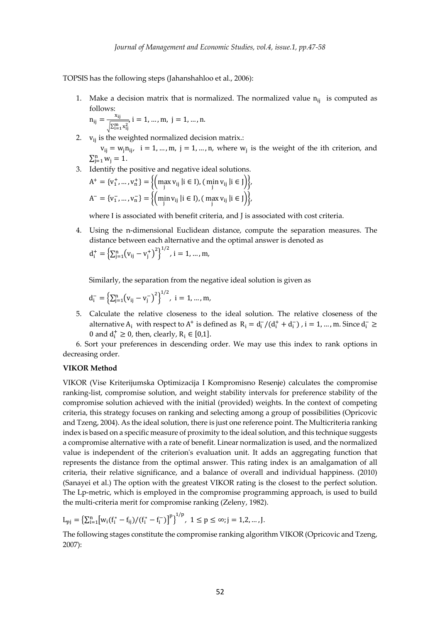TOPSIS has the following steps (Jahanshahloo et al., 2006):

1. Make a decision matrix that is normalized. The normalized value  $n_{ii}$  is computed as follows:

$$
n_{ij} = \frac{x_{ij}}{\sqrt{\sum_{i=1}^{m} x_{ij}^2}}, i = 1, ..., m, j = 1, ..., n.
$$

- 2.  $v_{ii}$  is the weighted normalized decision matrix.:  $v_{ii} = w_{i} n_{ii}$ ,  $i = 1, ..., m$ ,  $j = 1, ..., n$ , where  $w_{i}$  is the weight of the ith criterion, and  $\sum_{j=1}^{n} w_j = 1.$
- 3. Identify the positive and negative ideal solutions.

$$
A^{+} = \{v_{1}^{+}, ..., v_{n}^{+}\} = \{ \left(\max_{j} v_{ij} | i \in I\right), \left(\min_{j} v_{ij} | i \in J\right) \},
$$
  

$$
A^{-} = \{v_{1}^{-}, ..., v_{n}^{-}\} = \{ \left(\min_{j} v_{ij} | i \in I\right), \left(\max_{j} v_{ij} | i \in J\right) \},
$$

where I is associated with benefit criteria, and J is associated with cost criteria.

4. Using the n-dimensional Euclidean distance, compute the separation measures. The distance between each alternative and the optimal answer is denoted as  $d_i^+ = \left\{ \sum_{j=1}^n (v_{ij} - v_j^+)^2 \right\}^{1/2}, i = 1, ..., m,$ 

Similarly, the separation from the negative ideal solution is given as

$$
d_i^- = \left\{ \sum_{j=1}^n (v_{ij} - v_j^-)^2 \right\}^{1/2}, i = 1, ..., m,
$$

5. Calculate the relative closeness to the ideal solution. The relative closeness of the alternative  $A_i$  with respect to  $A^+$  is defined as  $R_i = d_i^-/(d_i^+ + d_i^-)$ , i = 1, ..., m. Since  $d_i^- \ge$ 0 and  $d_i^+ \ge 0$ , then, clearly,  $R_i \in [0,1]$ .

6. Sort your preferences in descending order. We may use this index to rank options in decreasing order.

#### **VIKOR Method**

VIKOR (Vise Kriterijumska Optimizacija I Kompromisno Resenje) calculates the compromise ranking-list, compromise solution, and weight stability intervals for preference stability of the compromise solution achieved with the initial (provided) weights. In the context of competing criteria, this strategy focuses on ranking and selecting among a group of possibilities (Opricovic and Tzeng, 2004). As the ideal solution, there is just one reference point. The Multicriteria ranking index is based on a specific measure of proximity to the ideal solution, and this technique suggests a compromise alternative with a rate of benefit. Linear normalization is used, and the normalized value is independent of the criterion's evaluation unit. It adds an aggregating function that represents the distance from the optimal answer. This rating index is an amalgamation of all criteria, their relative significance, and a balance of overall and individual happiness. (2010) (Sanayei et al.) The option with the greatest VIKOR rating is the closest to the perfect solution. The Lp-metric, which is employed in the compromise programming approach, is used to build the multi-criteria merit for compromise ranking (Zeleny, 1982).

$$
L_{pj}=\bigl\{\Sigma_{i=1}^n\bigl[w_i(f_i^*-f_{ij})/(f_i^*-f_i^-)\bigr]^p\bigr\}^{1/p},\ 1\leq p\leq\infty; j=1,2,...,J.
$$

The following stages constitute the compromise ranking algorithm VIKOR (Opricovic and Tzeng, 2007):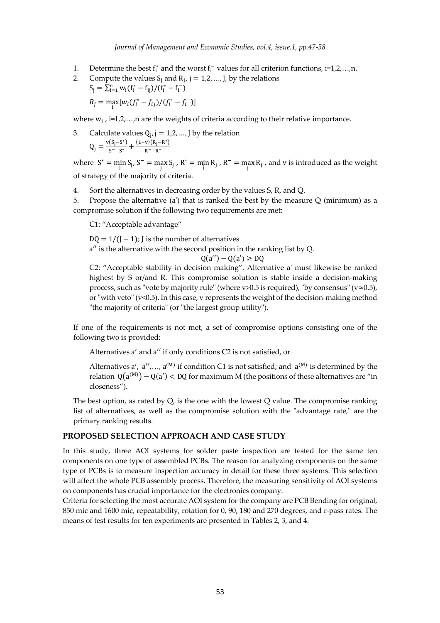*Journal of Management and Economic Studies, vol.4, issue.1, pp.47-58*

- 1. Determine the best  $f_i^*$  and the worst  $f_i^-$  values for all criterion functions, i=1,2,...,n.
- 2. Compute the values  $S_i$  and  $R_i$ ,  $j = 1, 2, ..., J$ , by the relations  $S_j = \sum_{i=1}^n w_i (f_i^* - f_{ij})/(f_i^* - f_i^-)$

$$
R_j = \max_i [w_i(f_i^* - f_{ij})/(f_i^* - f_i^-)]
$$

where  $w_i$ , i=1,2,...,n are the weights of criteria according to their relative importance.

3. Calculate values  $Q_i$ ,  $j = 1, 2, ..., J$  by the relation  $Q_j = \frac{v(S_j - S^*)}{S^--S^*} + \frac{(1-v)(R_j - R^*)}{R^--R^*}$ 

where  $S^* = \min_j S_j$ ,  $S^- = \max_j S_j$ ,  $R^* = \min_j R_j$ ,  $R^- = \max_j R_j$ , and v is introduced as the weight of strategy of the majority of criteria.

4. Sort the alternatives in decreasing order by the values S, R, and Q.

5. Propose the alternative (a') that is ranked the best by the measure Q (minimum) as a compromise solution if the following two requirements are met:

C1: "Acceptable advantage"

 $DQ = 1/(J - 1)$ ; J is the number of alternatives

a′′ is the alternative with the second position in the ranking list by Q.

$$
Q(a'') - Q(a') \ge DQ
$$

C2: "Acceptable stability in decision making". Alternative a' must likewise be ranked highest by S or/and R. This compromise solution is stable inside a decision-making process, such as "vote by majority rule" (where v>0.5 is required), "by consensus" ( $v \approx 0.5$ ), or "with veto" (v<0.5). In this case, v represents the weight of the decision-making method "the majority of criteria" (or "the largest group utility").

If one of the requirements is not met, a set of compromise options consisting one of the following two is provided:

Alternatives a' and a" if only conditions C2 is not satisfied, or

Alternatives a',  $a''$ ,...,  $a^{(M)}$  if condition C1 is not satisfied; and  $a^{(M)}$  is determined by the relation  $Q(a^{(M)}) - Q(a') < DQ$  for maximum M (the positions of these alternatives are "in closeness").

The best option, as rated by Q, is the one with the lowest Q value. The compromise ranking list of alternatives, as well as the compromise solution with the "advantage rate," are the primary ranking results.

#### **PROPOSED SELECTION APPROACH AND CASE STUDY**

In this study, three AOI systems for solder paste inspection are tested for the same ten components on one type of assembled PCBs. The reason for analyzing components on the same type of PCBs is to measure inspection accuracy in detail for these three systems. This selection will affect the whole PCB assembly process. Therefore, the measuring sensitivity of AOI systems on components has crucial importance for the electronics company.

Criteria for selecting the most accurate AOI system for the company are PCB Bending for original, 850 mic and 1600 mic, repeatability, rotation for 0, 90, 180 and 270 degrees, and r-pass rates. The means of test results for ten experiments are presented in Tables 2, 3, and 4.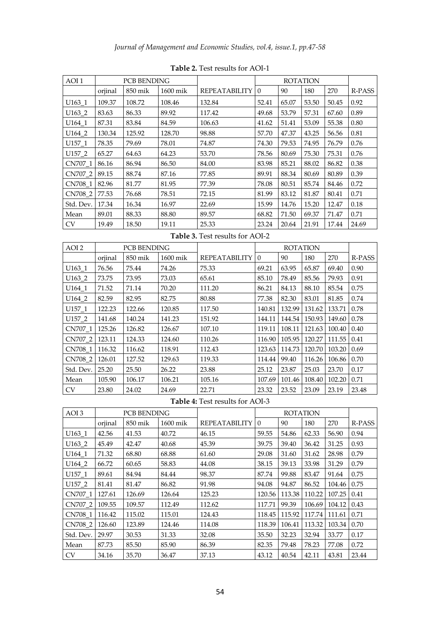| AOI <sub>1</sub>   |         | <b>PCB BENDING</b> |          |                      | <b>ROTATION</b> |       |       |       |        |
|--------------------|---------|--------------------|----------|----------------------|-----------------|-------|-------|-------|--------|
|                    | orjinal | 850 mik            | 1600 mik | <b>REPEATABILITY</b> | $\Omega$        | 90    | 180   | 270   | R-PASS |
| U <sub>163_1</sub> | 109.37  | 108.72             | 108.46   | 132.84               | 52.41           | 65.07 | 53.50 | 50.45 | 0.92   |
| U163_2             | 83.63   | 86.33              | 89.92    | 117.42               | 49.68           | 53.79 | 57.31 | 67.60 | 0.89   |
| $U164_1$           | 87.31   | 83.84              | 84.59    | 106.63               | 41.62           | 51.41 | 53.09 | 55.38 | 0.80   |
| U164_2             | 130.34  | 125.92             | 128.70   | 98.88                | 57.70           | 47.37 | 43.25 | 56.56 | 0.81   |
| $U157_1$           | 78.35   | 79.69              | 78.01    | 74.87                | 74.30           | 79.53 | 74.95 | 76.79 | 0.76   |
| U157_2             | 65.27   | 64.63              | 64.23    | 53.70                | 78.56           | 80.69 | 75.30 | 75.31 | 0.76   |
| CN707_1 86.16      |         | 86.94              | 86.50    | 84.00                | 83.98           | 85.21 | 88.02 | 86.82 | 0.38   |
| CN707_2 89.15      |         | 88.74              | 87.16    | 77.85                | 89.91           | 88.34 | 80.69 | 80.89 | 0.39   |
| CN708 1 82.96      |         | 81.77              | 81.95    | 77.39                | 78.08           | 80.51 | 85.74 | 84.46 | 0.72   |
| CN708_2 77.53      |         | 76.68              | 78.51    | 72.15                | 81.99           | 83.12 | 81.87 | 80.41 | 0.71   |
| Std. Dev. 17.34    |         | 16.34              | 16.97    | 22.69                | 15.99           | 14.76 | 15.20 | 12.47 | 0.18   |
| Mean               | 89.01   | 88.33              | 88.80    | 89.57                | 68.82           | 71.50 | 69.37 | 71.47 | 0.71   |
| CV                 | 19.49   | 18.50              | 19.11    | 25.33                | 23.24           | 20.64 | 21.91 | 17.44 | 24.69  |

**Table 2.** Test results for AOI-1

**Table 3.** Test results for AOI-2

| AOI <sub>2</sub>   |         | <b>PCB BENDING</b> |          |                      | <b>ROTATION</b> |        |        |                    |        |
|--------------------|---------|--------------------|----------|----------------------|-----------------|--------|--------|--------------------|--------|
|                    | orjinal | 850 mik            | 1600 mik | <b>REPEATABILITY</b> | $\Omega$        | 90     | 180    | 270                | R-PASS |
| $U163_1$           | 76.56   | 75.44              | 74.26    | 75.33                | 69.21           | 63.95  | 65.87  | 69.40              | 0.90   |
| U <sub>163_2</sub> | 73.75   | 73.95              | 73.03    | 65.61                | 85.10           | 78.49  | 85.56  | 79.93              | 0.91   |
| U <sub>164_1</sub> | 71.52   | 71.14              | 70.20    | 111.20               | 86.21           | 84.13  | 88.10  | 85.54              | 0.75   |
| U164 2             | 82.59   | 82.95              | 82.75    | 80.88                | 77.38           | 82.30  | 83.01  | 81.85              | 0.74   |
| U157_1             | 122.23  | 122.66             | 120.85   | 117.50               | 140.81          | 132.99 | 131.62 | 133.71             | 0.78   |
| U157_2             | 141.68  | 140.24             | 141.23   | 151.92               | 144.11          | 144.54 | 150.93 | 149.60 0.78        |        |
| CN707_1            | 125.26  | 126.82             | 126.67   | 107.10               | 119.11          | 108.11 | 121.63 | $100.40 \mid 0.40$ |        |
| CN707_2   123.11   |         | 124.33             | 124.60   | 110.26               | 116.90          | 105.95 | 120.27 | 111.55 0.41        |        |
| CN708_1   116.32   |         | 116.62             | 118.91   | 112.43               | 123.63          | 114.73 | 120.70 | 103.20             | 0.69   |
| CN708_2   126.01   |         | 127.52             | 129.63   | 119.33               | 114.44          | 99.40  | 116.26 | 106.86   0.70      |        |
| Std. Dev.          | 25.20   | 25.50              | 26.22    | 23.88                | 25.12           | 23.87  | 25.03  | 23.70              | 0.17   |
| Mean               | 105.90  | 106.17             | 106.21   | 105.16               | 107.69          | 101.46 | 108.40 | 102.20             | 0.71   |
| <b>CV</b>          | 23.80   | 24.02              | 24.69    | 22.71                | 23.32           | 23.52  | 23.09  | 23.19              | 23.48  |

**Table 4:** Test results for AOI-3

| AOI <sub>3</sub>   |         | <b>PCB BENDING</b> |          |                      | <b>ROTATION</b> |        |        |        |        |
|--------------------|---------|--------------------|----------|----------------------|-----------------|--------|--------|--------|--------|
|                    | orjinal | 850 mik            | 1600 mik | <b>REPEATABILITY</b> | $\Omega$        | 90     | 180    | 270    | R-PASS |
| $U163_1$           | 42.56   | 41.53              | 40.72    | 46.15                | 59.55           | 54.86  | 62.33  | 56.90  | 0.94   |
| U <sub>163_2</sub> | 45.49   | 42.47              | 40.68    | 45.39                | 39.75           | 39.40  | 36.42  | 31.25  | 0.93   |
| U164 1             | 71.32   | 68.80              | 68.88    | 61.60                | 29.08           | 31.60  | 31.62  | 28.98  | 0.79   |
| U164 2             | 66.72   | 60.65              | 58.83    | 44.08                | 38.15           | 39.13  | 33.98  | 31.29  | 0.79   |
| U157 1             | 89.61   | 84.94              | 84.44    | 98.37                | 87.74           | 99.88  | 83.47  | 91.64  | 0.75   |
| U <sub>157_2</sub> | 81.41   | 81.47              | 86.82    | 91.98                | 94.08           | 94.87  | 86.52  | 104.46 | 0.75   |
| CN707_1   127.61   |         | 126.69             | 126.64   | 125.23               | 120.56          | 113.38 | 110.22 | 107.25 | 0.41   |
| CN707_2   109.55   |         | 109.57             | 112.49   | 112.62               | 117.71          | 99.39  | 106.69 | 104.12 | 0.43   |
| CN708_1   116.42   |         | 115.02             | 115.01   | 124.43               | 118.45          | 115.92 | 117.74 | 111.61 | 0.71   |
| CN708_2   126.60   |         | 123.89             | 124.46   | 114.08               | 118.39          | 106.41 | 113.32 | 103.34 | 0.70   |
| Std. Dev. 29.97    |         | 30.53              | 31.33    | 32.08                | 35.50           | 32.23  | 32.94  | 33.77  | 0.17   |
| Mean               | 87.73   | 85.50              | 85.90    | 86.39                | 82.35           | 79.48  | 78.23  | 77.08  | 0.72   |
| <b>CV</b>          | 34.16   | 35.70              | 36.47    | 37.13                | 43.12           | 40.54  | 42.11  | 43.81  | 23.44  |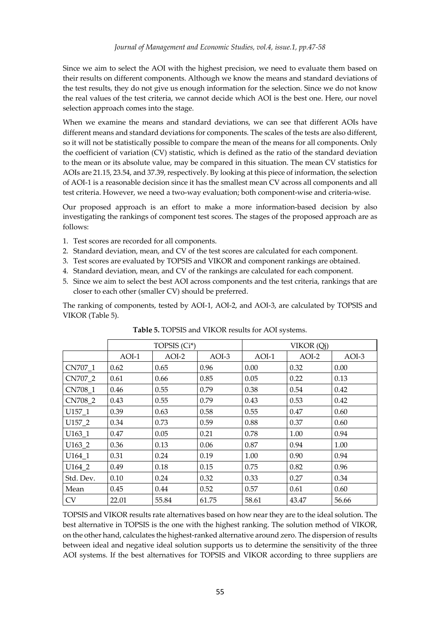Since we aim to select the AOI with the highest precision, we need to evaluate them based on their results on different components. Although we know the means and standard deviations of the test results, they do not give us enough information for the selection. Since we do not know the real values of the test criteria, we cannot decide which AOI is the best one. Here, our novel selection approach comes into the stage.

When we examine the means and standard deviations, we can see that different AOIs have different means and standard deviations for components. The scales of the tests are also different, so it will not be statistically possible to compare the mean of the means for all components. Only the coefficient of variation (CV) statistic, which is defined as the ratio of the standard deviation to the mean or its absolute value, may be compared in this situation. The mean CV statistics for AOIs are 21.15, 23.54, and 37.39, respectively. By looking at this piece of information, the selection of AOI-1 is a reasonable decision since it has the smallest mean CV across all components and all test criteria. However, we need a two-way evaluation; both component-wise and criteria-wise.

Our proposed approach is an effort to make a more information-based decision by also investigating the rankings of component test scores. The stages of the proposed approach are as follows:

- 1. Test scores are recorded for all components.
- 2. Standard deviation, mean, and CV of the test scores are calculated for each component.
- 3. Test scores are evaluated by TOPSIS and VIKOR and component rankings are obtained.
- 4. Standard deviation, mean, and CV of the rankings are calculated for each component.
- 5. Since we aim to select the best AOI across components and the test criteria, rankings that are closer to each other (smaller CV) should be preferred.

The ranking of components, tested by AOI-1, AOI-2, and AOI-3, are calculated by TOPSIS and VIKOR (Table 5).

|           | TOPSIS (Ci*) |         |       | VIKOR (Qj) |       |         |  |
|-----------|--------------|---------|-------|------------|-------|---------|--|
|           | $AOI-1$      | $AOI-2$ | AOI-3 | $AOI-1$    | AOI-2 | $AOI-3$ |  |
| CN707_1   | 0.62         | 0.65    | 0.96  | 0.00       | 0.32  | 0.00    |  |
| CN707_2   | 0.61         | 0.66    | 0.85  | 0.05       | 0.22  | 0.13    |  |
| CN708_1   | 0.46         | 0.55    | 0.79  | 0.38       | 0.54  | 0.42    |  |
| CN708_2   | 0.43         | 0.55    | 0.79  | 0.43       | 0.53  | 0.42    |  |
| U157 1    | 0.39         | 0.63    | 0.58  | 0.55       | 0.47  | 0.60    |  |
| U157_2    | 0.34         | 0.73    | 0.59  | 0.88       | 0.37  | 0.60    |  |
| $U163_1$  | 0.47         | 0.05    | 0.21  | 0.78       | 1.00  | 0.94    |  |
| U163_2    | 0.36         | 0.13    | 0.06  | 0.87       | 0.94  | 1.00    |  |
| U164_1    | 0.31         | 0.24    | 0.19  | 1.00       | 0.90  | 0.94    |  |
| U164_2    | 0.49         | 0.18    | 0.15  | 0.75       | 0.82  | 0.96    |  |
| Std. Dev. | 0.10         | 0.24    | 0.32  | 0.33       | 0.27  | 0.34    |  |
| Mean      | 0.45         | 0.44    | 0.52  | 0.57       | 0.61  | 0.60    |  |
| <b>CV</b> | 22.01        | 55.84   | 61.75 | 58.61      | 43.47 | 56.66   |  |

**Table 5.** TOPSIS and VIKOR results for AOI systems.

TOPSIS and VIKOR results rate alternatives based on how near they are to the ideal solution. The best alternative in TOPSIS is the one with the highest ranking. The solution method of VIKOR, on the other hand, calculates the highest-ranked alternative around zero. The dispersion of results between ideal and negative ideal solution supports us to determine the sensitivity of the three AOI systems. If the best alternatives for TOPSIS and VIKOR according to three suppliers are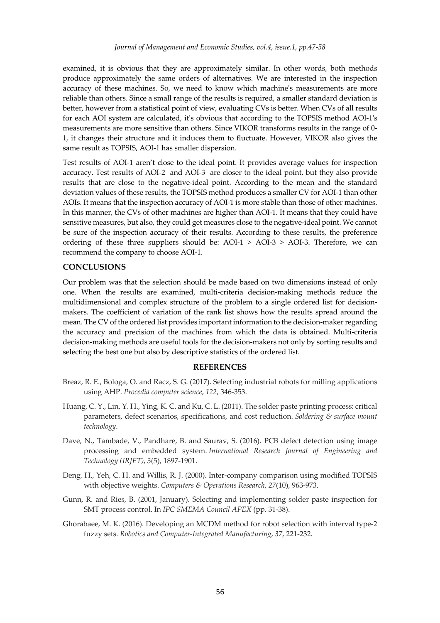examined, it is obvious that they are approximately similar. In other words, both methods produce approximately the same orders of alternatives. We are interested in the inspection accuracy of these machines. So, we need to know which machine's measurements are more reliable than others. Since a small range of the results is required, a smaller standard deviation is better, however from a statistical point of view, evaluating CVs is better. When CVs of all results for each AOI system are calculated, it's obvious that according to the TOPSIS method AOI-1's measurements are more sensitive than others. Since VIKOR transforms results in the range of 0- 1, it changes their structure and it induces them to fluctuate. However, VIKOR also gives the same result as TOPSIS, AOI-1 has smaller dispersion.

Test results of AOI-1 aren't close to the ideal point. It provides average values for inspection accuracy. Test results of AOI-2 and AOI-3 are closer to the ideal point, but they also provide results that are close to the negative-ideal point. According to the mean and the standard deviation values of these results, the TOPSIS method produces a smaller CV for AOI-1 than other AOIs. It means that the inspection accuracy of AOI-1 is more stable than those of other machines. In this manner, the CVs of other machines are higher than AOI-1. It means that they could have sensitive measures, but also, they could get measures close to the negative-ideal point. We cannot be sure of the inspection accuracy of their results. According to these results, the preference ordering of these three suppliers should be:  $AOI-1 > AOI-3 > AOI-3$ . Therefore, we can recommend the company to choose AOI-1.

#### **CONCLUSIONS**

Our problem was that the selection should be made based on two dimensions instead of only one. When the results are examined, multi-criteria decision-making methods reduce the multidimensional and complex structure of the problem to a single ordered list for decisionmakers. The coefficient of variation of the rank list shows how the results spread around the mean. The CV of the ordered list provides important information to the decision-maker regarding the accuracy and precision of the machines from which the data is obtained. Multi-criteria decision-making methods are useful tools for the decision-makers not only by sorting results and selecting the best one but also by descriptive statistics of the ordered list.

#### **REFERENCES**

- Breaz, R. E., Bologa, O. and Racz, S. G. (2017). Selecting industrial robots for milling applications using AHP. *Procedia computer science*, *122*, 346-353.
- Huang, C. Y., Lin, Y. H., Ying, K. C. and Ku, C. L. (2011). The solder paste printing process: critical parameters, defect scenarios, specifications, and cost reduction. *Soldering & surface mount technology*.
- Dave, N., Tambade, V., Pandhare, B. and Saurav, S. (2016). PCB defect detection using image processing and embedded system. *International Research Journal of Engineering and Technology (IRJET)*, *3*(5), 1897-1901.
- Deng, H., Yeh, C. H. and Willis, R. J. (2000). Inter-company comparison using modified TOPSIS with objective weights. *Computers & Operations Research*, *27*(10), 963-973.
- Gunn, R. and Ries, B. (2001, January). Selecting and implementing solder paste inspection for SMT process control. In *IPC SMEMA Council APEX* (pp. 31-38).
- Ghorabaee, M. K. (2016). Developing an MCDM method for robot selection with interval type-2 fuzzy sets. *Robotics and Computer-Integrated Manufacturing*, *37*, 221-232.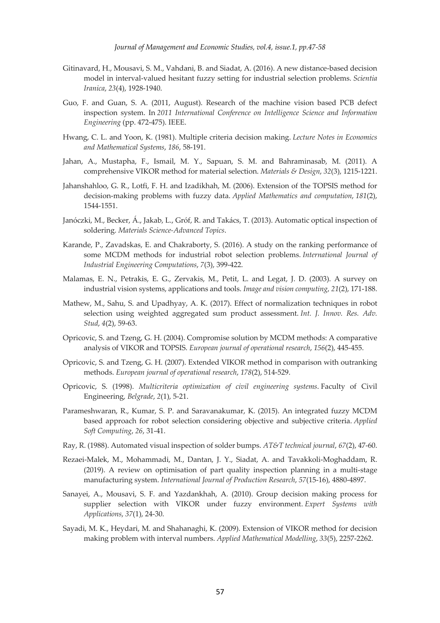- Gitinavard, H., Mousavi, S. M., Vahdani, B. and Siadat, A. (2016). A new distance-based decision model in interval-valued hesitant fuzzy setting for industrial selection problems. *Scientia Iranica*, *23*(4), 1928-1940.
- Guo, F. and Guan, S. A. (2011, August). Research of the machine vision based PCB defect inspection system. In *2011 International Conference on Intelligence Science and Information Engineering* (pp. 472-475). IEEE.
- Hwang, C. L. and Yoon, K. (1981). Multiple criteria decision making. *Lecture Notes in Economics and Mathematical Systems*, *186*, 58-191.
- Jahan, A., Mustapha, F., Ismail, M. Y., Sapuan, S. M. and Bahraminasab, M. (2011). A comprehensive VIKOR method for material selection. *Materials & Design*, *32*(3), 1215-1221.
- Jahanshahloo, G. R., Lotfi, F. H. and Izadikhah, M. (2006). Extension of the TOPSIS method for decision-making problems with fuzzy data. *Applied Mathematics and computation*, *181*(2), 1544-1551.
- Janóczki, M., Becker, Á., Jakab, L., Gróf, R. and Takács, T. (2013). Automatic optical inspection of soldering. *Materials Science-Advanced Topics*.
- Karande, P., Zavadskas, E. and Chakraborty, S. (2016). A study on the ranking performance of some MCDM methods for industrial robot selection problems. *International Journal of Industrial Engineering Computations*, *7*(3), 399-422.
- Malamas, E. N., Petrakis, E. G., Zervakis, M., Petit, L. and Legat, J. D. (2003). A survey on industrial vision systems, applications and tools. *Image and vision computing*, *21*(2), 171-188.
- Mathew, M., Sahu, S. and Upadhyay, A. K. (2017). Effect of normalization techniques in robot selection using weighted aggregated sum product assessment. *Int. J. Innov. Res. Adv. Stud*, *4*(2), 59-63.
- Opricovic, S. and Tzeng, G. H. (2004). Compromise solution by MCDM methods: A comparative analysis of VIKOR and TOPSIS. *European journal of operational research*, *156*(2), 445-455.
- Opricovic, S. and Tzeng, G. H. (2007). Extended VIKOR method in comparison with outranking methods. *European journal of operational research*, *178*(2), 514-529.
- Opricovic, S. (1998). *Multicriteria optimization of civil engineering systems*. Faculty of Civil Engineering*, Belgrade*, *2*(1), 5-21.
- Parameshwaran, R., Kumar, S. P. and Saravanakumar, K. (2015). An integrated fuzzy MCDM based approach for robot selection considering objective and subjective criteria. *Applied Soft Computing*, *26*, 31-41.
- Ray, R. (1988). Automated visual inspection of solder bumps. *AT&T technical journal*, *67*(2), 47-60.
- Rezaei-Malek, M., Mohammadi, M., Dantan, J. Y., Siadat, A. and Tavakkoli-Moghaddam, R. (2019). A review on optimisation of part quality inspection planning in a multi-stage manufacturing system. *International Journal of Production Research*, *57*(15-16), 4880-4897.
- Sanayei, A., Mousavi, S. F. and Yazdankhah, A. (2010). Group decision making process for supplier selection with VIKOR under fuzzy environment. *Expert Systems with Applications*, *37*(1), 24-30.
- Sayadi, M. K., Heydari, M. and Shahanaghi, K. (2009). Extension of VIKOR method for decision making problem with interval numbers. *Applied Mathematical Modelling*, *33*(5), 2257-2262.